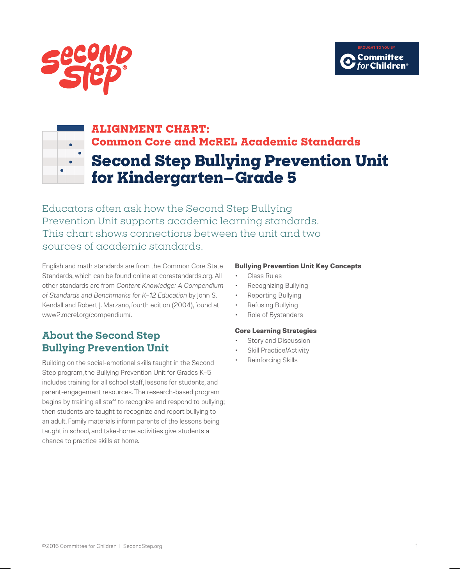





## **ALIGNMENT CHART: Common Core and McREL Academic Standards Second Step Bullying Prevention Unit for Kindergarten—Grade 5**

Educators often ask how the Second Step Bullying Prevention Unit supports academic learning standards. This chart shows connections between the unit and two sources of academic standards.

English and math standards are from the Common Core State Standards, which can be found online at corestandards.org. All other standards are from *Content Knowledge: A Compendium of Standards and Benchmarks for K–12 Education* by John S. Kendall and Robert J. Marzano, fourth edition (2004), found at www2.mcrel.org/compendium/.

## **About the Second Step Bullying Prevention Unit**

Building on the social-emotional skills taught in the Second Step program, the Bullying Prevention Unit for Grades K–5 includes training for all school staff, lessons for students, and parent-engagement resources. The research-based program begins by training all staff to recognize and respond to bullying; then students are taught to recognize and report bullying to an adult. Family materials inform parents of the lessons being taught in school, and take-home activities give students a chance to practice skills at home.

## **Bullying Prevention Unit Key Concepts**

- Class Rules
- Recognizing Bullying
- Reporting Bullying
- Refusing Bullying
- Role of Bystanders

## **Core Learning Strategies**

- Story and Discussion
- Skill Practice/Activity
- Reinforcing Skills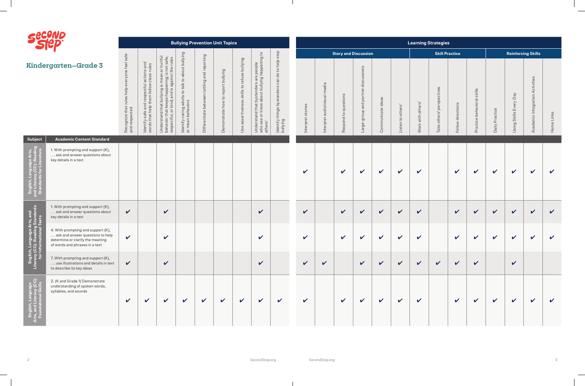$\overline{\phantom{0}}$ 

 $\overline{\phantom{0}}$ 

 $\overline{\phantom{0}}$ 

 $\sim$ 



| <b>DETER</b>                                                           |                                                                                                                                              |                                                                     |                                                                                                                                    |                                                                                                                           |                                                                                                                                                                                  |                                                                            | <b>Bullying Prevention Unit Topics</b>     |                                                              |                                                                                                 |                                                               |                   |                                                              |                             |                                                        |                            |                   | <b>Learning Strategies</b> |                                 |                       |                                           |                            |                           |                                                   |                            |
|------------------------------------------------------------------------|----------------------------------------------------------------------------------------------------------------------------------------------|---------------------------------------------------------------------|------------------------------------------------------------------------------------------------------------------------------------|---------------------------------------------------------------------------------------------------------------------------|----------------------------------------------------------------------------------------------------------------------------------------------------------------------------------|----------------------------------------------------------------------------|--------------------------------------------|--------------------------------------------------------------|-------------------------------------------------------------------------------------------------|---------------------------------------------------------------|-------------------|--------------------------------------------------------------|-----------------------------|--------------------------------------------------------|----------------------------|-------------------|----------------------------|---------------------------------|-----------------------|-------------------------------------------|----------------------------|---------------------------|---------------------------------------------------|----------------------------|
|                                                                        |                                                                                                                                              | safe                                                                |                                                                                                                                    | $\omega$                                                                                                                  |                                                                                                                                                                                  |                                                                            |                                            |                                                              |                                                                                                 |                                                               |                   |                                                              | <b>Story and Discussion</b> |                                                        |                            |                   |                            |                                 | <b>Skill Practice</b> |                                           |                            |                           | <b>Reinforcing Skills</b>                         |                            |
|                                                                        | Kindergarten-Grade 3                                                                                                                         | everyone feel<br>help<br>rules<br>Recognize that r<br>and respected | ions and<br>ss rules<br>acti<br>clas<br>$\overline{\mathbf{z}}$<br>ਠ<br>$\overline{a}$<br>$\circ$<br>saf<br>Identify s<br>words th | safe<br>rule:<br>$\overleftrightarrow{\circ}$<br>$\circ$<br>둔<br>$\overline{\mathbb{Q}}$<br>Unde<br>$\Omega$<br>res<br>be | bullying<br>out<br>$\sigma$<br>$\circ$<br>talk<br>S,<br>$\omega$<br>caring adul<br>behaviors<br>$\bar{\sigma}$<br>ntify<br>Ĕ<br>$\overline{d}$ e<br>$\overleftarrow{\mathrm{o}}$ | reporting<br>and<br>tattling<br>$\subset$<br>betwee<br>intiate<br>Differer | bullying<br>report  <br>Demonstrate how to | to refuse bullying<br>skills<br>SS<br>Φ<br>tiven<br>Φ<br>Use | Understand that bystanders are people<br>who see or know about bullying happening to<br>others' | can do to help stop<br>ldentify things bystanders<br>bullying | Interpret stories | udio/visual media<br>$\bar{\sigma}$<br>$\vec{e}$<br>Interpre | to questions<br>Respond     | saions<br>ਰ<br>dis<br>partner<br>bue dno.l6-<br>Large- | unicate ideas<br>Comm      | Listen to others' | others'<br>with<br>Work    | perspectives<br>others'<br>Take | directions<br>Follow  | skills<br>behavioral<br>Practice <b>I</b> | Daily Practice             | Skills Every Day<br>Using | Activities<br>Integration<br><b>Idemic</b><br>Аса | Home Links                 |
| <b>Subject</b>                                                         | <b>Academic Content Standard</b>                                                                                                             |                                                                     |                                                                                                                                    |                                                                                                                           |                                                                                                                                                                                  |                                                                            |                                            |                                                              |                                                                                                 |                                                               |                   |                                                              |                             |                                                        |                            |                   |                            |                                 |                       |                                           |                            |                           |                                                   |                            |
| nguage Arts,<br>(CC): Reading<br>or Literature<br>Engl<br>I Li<br>Stan | 1. With prompting and support (K),<br>ask and answer questions about<br>key details in a text                                                |                                                                     |                                                                                                                                    |                                                                                                                           |                                                                                                                                                                                  |                                                                            |                                            |                                                              |                                                                                                 |                                                               | $\checkmark$      |                                                              | $\checkmark$                | $\mathbf v$                                            | $\checkmark$               | $\checkmark$      | $\mathbf v$                |                                 | $\checkmark$          | $\mathbf v$                               | $\boldsymbol{\mathcal{U}}$ | $\checkmark$              | $\checkmark$                                      | $\mathbf v$                |
| uage Arts, and<br>ading Standards<br>tional Texts                      | 1. With prompting and support (K),<br>ask and answer questions about<br>key details in a text                                                | $\checkmark$                                                        |                                                                                                                                    | $\checkmark$                                                                                                              |                                                                                                                                                                                  |                                                                            |                                            |                                                              | $\checkmark$                                                                                    |                                                               | $\checkmark$      |                                                              | $\checkmark$                | $\boldsymbol{\nu}$                                     | $\checkmark$               | $\checkmark$      | $\checkmark$               |                                 | $\checkmark$          | $\mathbf v$                               | $\checkmark$               | $\checkmark$              | $\checkmark$                                      | $\checkmark$               |
| $\frac{1}{2}$ Rea                                                      | 4. With prompting and support (K),<br>ask and answer questions to help<br>determine or clarify the meaning<br>of words and phrases in a text | $\checkmark$                                                        |                                                                                                                                    | $\boldsymbol{\mathcal{U}}$                                                                                                |                                                                                                                                                                                  |                                                                            |                                            |                                                              | $\checkmark$                                                                                    |                                                               | $\checkmark$      |                                                              | $\checkmark$                | $\boldsymbol{\mathcal{U}}$                             | $\boldsymbol{\mathcal{U}}$ | $\checkmark$      | V                          |                                 | $\checkmark$          | $\boldsymbol{\mathcal{U}}$                | $\checkmark$               | $\checkmark$              | $\boldsymbol{\mathcal{U}}$                        | $\checkmark$               |
| English, Lan<br>Literacy (CC):<br>Lor Inforr                           | 7. With prompting and support (K),<br>use illustrations and details in text<br>to describe its key ideas                                     | $\checkmark$                                                        |                                                                                                                                    | $\mathbf v$                                                                                                               |                                                                                                                                                                                  |                                                                            |                                            |                                                              | $\checkmark$                                                                                    |                                                               | $\checkmark$      | $\checkmark$                                                 |                             | $\checkmark$                                           | $\vee$                     | $\checkmark$      | $\mathbf v$                | $\checkmark$                    | $\checkmark$          | $\mathbf{v}$                              |                            | $\checkmark$              |                                                   |                            |
| English, Language<br>vrts, and Literacy (CC):<br>Foundational Skills   | 2. (K and Grade 1) Demonstrate<br>understanding of spoken words,<br>syllables, and sounds                                                    | $\checkmark$                                                        | $\sqrt{2}$                                                                                                                         | $\checkmark$                                                                                                              | $\checkmark$                                                                                                                                                                     | $\mathbf v$                                                                | $\checkmark$                               | $\checkmark$                                                 | $\checkmark$                                                                                    | $\checkmark$                                                  | $\mathbf v$       |                                                              | $\checkmark$                | $\mathbf v$                                            | $\checkmark$               | $\mathbf v$       | $\mathbf v$                |                                 | $\checkmark$          | $\checkmark$                              | $\checkmark$               | $\checkmark$              | $\checkmark$                                      | $\boldsymbol{\mathcal{U}}$ |

 $\mathcal{A}_{\mathcal{A}}$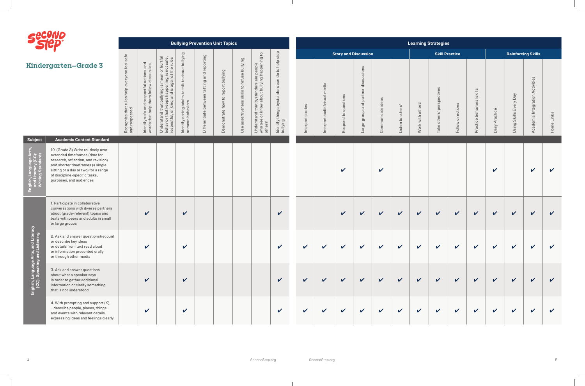

| <b>Siep</b>                                                          |                                                                                                                                                                                                                                                    |                                                                                       |                                                                                                                                                                    |                                                                                                                                                                                                                                                                                     |                                                                                                                             |                                                                         | <b>Bullying Prevention Unit Topics</b> |                                                          |                                                                                              |                                                            |                    |                                     |                                        |                                                                                                                  |                            |                                                |                         | <b>Learning Strategies</b>          |                      |                                  |                            |                           |                                                   |                    |
|----------------------------------------------------------------------|----------------------------------------------------------------------------------------------------------------------------------------------------------------------------------------------------------------------------------------------------|---------------------------------------------------------------------------------------|--------------------------------------------------------------------------------------------------------------------------------------------------------------------|-------------------------------------------------------------------------------------------------------------------------------------------------------------------------------------------------------------------------------------------------------------------------------------|-----------------------------------------------------------------------------------------------------------------------------|-------------------------------------------------------------------------|----------------------------------------|----------------------------------------------------------|----------------------------------------------------------------------------------------------|------------------------------------------------------------|--------------------|-------------------------------------|----------------------------------------|------------------------------------------------------------------------------------------------------------------|----------------------------|------------------------------------------------|-------------------------|-------------------------------------|----------------------|----------------------------------|----------------------------|---------------------------|---------------------------------------------------|--------------------|
|                                                                      |                                                                                                                                                                                                                                                    | safe                                                                                  |                                                                                                                                                                    |                                                                                                                                                                                                                                                                                     |                                                                                                                             |                                                                         |                                        |                                                          | $\mathbb{C}$                                                                                 |                                                            |                    |                                     | <b>Story and Discussion</b>            |                                                                                                                  |                            |                                                |                         | <b>Skill Practice</b>               |                      |                                  |                            |                           | <b>Reinforcing Skills</b>                         |                    |
|                                                                      | Kindergarten–Grade 3                                                                                                                                                                                                                               | eryone feel<br>help<br>$\omega$<br>$\frac{1}{2}$<br>Recognize that r<br>and respected | actions and<br>ctions and<br>$\overline{\sigma}$ 0<br>$\equiv$ $\geq$<br>ectfu<br>follov<br>금 문<br>$rac{6}{9}$<br>$\circ$ $\circ$<br>Identify safe<br>words that h | hurtful<br>t safe,<br>rules<br>$\overline{\circ}$<br>the<br>$\overleftarrow{\mathrm{o}}$<br>55<br>$\bar{\Xi}$<br>ain<br>$\omega$<br>gg<br>$\overline{\omega}$<br>$\overline{\circ}$<br><b>G</b><br>$\omega$<br>kind;<br>$\Omega$<br>$\circ$<br>behavior th:<br>respectful,<br>Under | bullying<br>about<br>$\mathbb{C}^1$<br>talk<br>$\mathsf{C}$<br>$\omega$<br>dult<br>Identify caring adu<br>or mean behaviors | reporting<br>and<br>tattling<br>betw<br>iate<br>Έi<br>$\circ$<br>Differ | report bullying<br>Demonstrate how to  | refuse bullying<br>skills to<br>ပ္သ<br>assertiven<br>Use | Understand that bystanders are people<br>who see or know about bullying happening<br>others' | ldentify things bystanders can do to help stop<br>bullying | Interpret stories  | audio/visual media<br>ď<br>Interpre | questions<br>$\mathbb{C}^1$<br>Respond | Issions<br>$\overline{c}$<br>$rac{1}{\sqrt{2}}$<br>$\overleftarrow{\mathbb{O}}$<br>partno<br>group and<br>Large- | Communicate ideas          | others'<br>$\mathbb{C}$<br>Listen <sub>1</sub> | others'<br>with<br>Work | spectives<br>per<br>others'<br>Take | directions<br>Follow | skills<br>behavioral<br>Practice | Daily Practice             | Skills Every Day<br>Using | Activities<br>Integration<br><b>Idemic</b><br>Aca | Home Links         |
| <b>Subject</b>                                                       | <b>Academic Content Standard</b>                                                                                                                                                                                                                   |                                                                                       |                                                                                                                                                                    |                                                                                                                                                                                                                                                                                     |                                                                                                                             |                                                                         |                                        |                                                          |                                                                                              |                                                            |                    |                                     |                                        |                                                                                                                  |                            |                                                |                         |                                     |                      |                                  |                            |                           |                                                   |                    |
| English, Language Arts,<br>and Literacy (CC):<br>Writing Standards   | 10. (Grade 3) Write routinely over<br>extended timeframes (time for<br>research, reflection, and revision)<br>and shorter timeframes (a single<br>sitting or a day or two) for a range<br>of discipline-specific tasks,<br>purposes, and audiences |                                                                                       |                                                                                                                                                                    |                                                                                                                                                                                                                                                                                     |                                                                                                                             |                                                                         |                                        |                                                          |                                                                                              |                                                            |                    |                                     | $\boldsymbol{\mathcal{U}}$             |                                                                                                                  | $\boldsymbol{\mathcal{U}}$ |                                                |                         |                                     |                      |                                  | $\boldsymbol{\mathcal{U}}$ |                           | $\checkmark$                                      | $\checkmark$       |
|                                                                      | 1. Participate in collaborative<br>conversations with diverse partners<br>about (grade-relevant) topics and<br>texts with peers and adults in small<br>or large groups                                                                             |                                                                                       | $\checkmark$                                                                                                                                                       |                                                                                                                                                                                                                                                                                     | $\checkmark$                                                                                                                |                                                                         |                                        |                                                          |                                                                                              | $\checkmark$                                               |                    |                                     | $\checkmark$                           | $\mathbf v$                                                                                                      | $\checkmark$               | $\checkmark$                                   | $\checkmark$            | $\checkmark$                        | $\checkmark$         | $\checkmark$                     | $\checkmark$               | $\checkmark$              | $\checkmark$                                      | $\checkmark$       |
| English, Language Arts, and Literacy<br>(CC): Speaking and Listening | 2. Ask and answer questions/recount<br>or describe key ideas<br>or details from text read aloud<br>or information presented orally<br>or through other media                                                                                       |                                                                                       |                                                                                                                                                                    |                                                                                                                                                                                                                                                                                     | V                                                                                                                           |                                                                         |                                        |                                                          |                                                                                              |                                                            |                    |                                     |                                        |                                                                                                                  |                            |                                                |                         |                                     |                      |                                  |                            |                           |                                                   |                    |
|                                                                      | 3. Ask and answer questions<br>about what a speaker says<br>in order to gather additional<br>information or clarify something<br>that is not understood                                                                                            |                                                                                       | $\mathbf v$                                                                                                                                                        |                                                                                                                                                                                                                                                                                     | $\checkmark$                                                                                                                |                                                                         |                                        |                                                          |                                                                                              | $\checkmark$                                               | $\boldsymbol{\nu}$ | $\boldsymbol{\nu}$                  | $\checkmark$                           | $\mathbf{v}$                                                                                                     | $\checkmark$               | $\mathbf{v}$                                   | $\mathbf v$             | $\mathbf v$                         | $\checkmark$         | $\mathbf{v}$                     | $\mathbf v$                | $\checkmark$              | $\boldsymbol{\nu}$                                | $\boldsymbol{\nu}$ |
|                                                                      | 4. With prompting and support (K),<br>describe people, places, things,<br>and events with relevant details<br>expressing ideas and feelings clearly                                                                                                |                                                                                       | $\checkmark$                                                                                                                                                       |                                                                                                                                                                                                                                                                                     | $\checkmark$                                                                                                                |                                                                         |                                        |                                                          |                                                                                              | $\checkmark$                                               |                    | $\boldsymbol{\mathcal{U}}$          | $\checkmark$                           | $\checkmark$                                                                                                     | $\checkmark$               | $\checkmark$                                   | $\checkmark$            | $\boldsymbol{\mathcal{U}}$          | $\checkmark$         | $\mathbf v$                      | $\mathbf v$                | $\checkmark$              | $\checkmark$                                      | $\checkmark$       |

 $\mathbf{L}$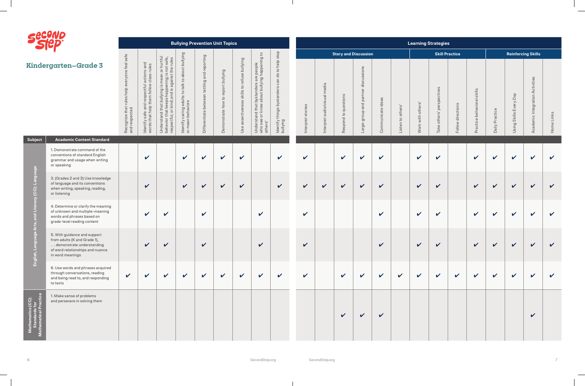

| <b>DISTRIPT</b>                           |                                                                                                                                                   |                                                                                                             |                                                                                                                                                    |                                                                                                                                                                                                              |                                                                                                                                                                |                                                                                        | <b>Bullying Prevention Unit Topics</b>                                   |                                                         |                                                                                                        |                                                                             |                                  |                                                                                     |                                      |                                                                                                  |                            |                                   | <b>Learning Strategies</b> |                                                                  |                                                          |                                                                                                              |                    |                                                   |                                                               |              |
|-------------------------------------------|---------------------------------------------------------------------------------------------------------------------------------------------------|-------------------------------------------------------------------------------------------------------------|----------------------------------------------------------------------------------------------------------------------------------------------------|--------------------------------------------------------------------------------------------------------------------------------------------------------------------------------------------------------------|----------------------------------------------------------------------------------------------------------------------------------------------------------------|----------------------------------------------------------------------------------------|--------------------------------------------------------------------------|---------------------------------------------------------|--------------------------------------------------------------------------------------------------------|-----------------------------------------------------------------------------|----------------------------------|-------------------------------------------------------------------------------------|--------------------------------------|--------------------------------------------------------------------------------------------------|----------------------------|-----------------------------------|----------------------------|------------------------------------------------------------------|----------------------------------------------------------|--------------------------------------------------------------------------------------------------------------|--------------------|---------------------------------------------------|---------------------------------------------------------------|--------------|
|                                           |                                                                                                                                                   | safe                                                                                                        |                                                                                                                                                    |                                                                                                                                                                                                              |                                                                                                                                                                |                                                                                        |                                                                          |                                                         | $\mathtt{C}$                                                                                           |                                                                             |                                  |                                                                                     | <b>Story and Discussion</b>          |                                                                                                  |                            |                                   |                            |                                                                  | <b>Skill Practice</b>                                    |                                                                                                              |                    |                                                   | <b>Reinforcing Skills</b>                                     |              |
|                                           | Kindergarten–Grade 3                                                                                                                              | feel<br>$\circ$<br>novi<br>$\frac{\Theta}{\Theta}$<br>$\omega$<br>rule<br>Recognize that r<br>and respected | actions and<br>class rules<br>actfu<br>ollo<br>$\omega$<br>$\frac{\text{d}}{\text{d}}$<br>$\circ$ $\circ$<br>saf<br>nat<br>Identify s<br>words tha | t safe,<br>rules<br>ᅩ<br>$\circledcirc$<br>$\overline{\sigma}$<br>습<br>5ť<br>க்<br>ЮG<br>Ō<br>$\omega$<br>ਰ<br>kin<br>$\circ$<br>$\overline{\sigma}$<br>ctful,<br>$\circ$<br>Under<br>$\circ$<br>resp<br>heh | bullying<br>$\overline{a}$<br>$\circ$<br>ď<br>$\mathsf{C}$<br>요<br>$\overline{c}$<br>du<br>ify caring adul <sup>.</sup><br>anokahaban nas<br>Identify<br>or me | reporting<br>$\overline{C}$<br>등<br>tattling<br>$\mathbf{\Omega}$<br>ate<br>Έ<br>Diffe | report bullying<br>$\overline{c}$<br><b>NOI</b><br>ᅩ<br>ate<br>Demonstra | refuse bullying<br>skills to<br>ഗ<br>ertive<br>ত<br>Use | bystanders are people<br>about bullying happening<br>Understand that b<br>who see or know a<br>others' | can do to help stop<br>$\omega$<br>things bystander<br>Identify<br>bullying | $\omega$<br>stories<br>Interpret | media<br>$\overline{a}$<br>$\overline{0}$<br>o/vi<br>亏<br>$\frac{1}{10}$<br>Interpr | questions<br>$\mathbb{C}$<br>Respond | sions<br>$\circ$<br>$rac{1}{\sqrt{2}}$<br>$\overleftarrow{\Theta}$<br>partn<br>group and<br>arge | ideas<br>unicate<br>Comm   | others'<br>$\mathsf{C}$<br>Listen | others'<br>with<br>Work    | spectives<br>$\overline{\sigma}$<br>$\Omega$<br>ັທ<br>Take other | $\omega$<br>ection<br>$\frac{1}{\overline{D}}$<br>Follow | skills<br>$\overline{\overline{\overline{p}}}$<br>avior<br>둥<br>$\mathbf{\Omega}$<br>$\circ$<br>ictic<br>Pra | Daily Practice     | VeQ<br>ery<br>$\overline{\Xi}$<br>Skills<br>Using | Activities<br>ation<br>Integra<br>mic<br>$\frac{e}{d}$<br>Aca | Home Links   |
| <b>Subject</b>                            | <b>Academic Content Standard</b>                                                                                                                  |                                                                                                             |                                                                                                                                                    |                                                                                                                                                                                                              |                                                                                                                                                                |                                                                                        |                                                                          |                                                         |                                                                                                        |                                                                             |                                  |                                                                                     |                                      |                                                                                                  |                            |                                   |                            |                                                                  |                                                          |                                                                                                              |                    |                                                   |                                                               |              |
|                                           | 1. Demonstrate command of the<br>conventions of standard English<br>grammar and usage when writing<br>or speaking                                 |                                                                                                             | $\checkmark$                                                                                                                                       |                                                                                                                                                                                                              | $\checkmark$                                                                                                                                                   | $\checkmark$                                                                           | $\checkmark$                                                             | $\checkmark$                                            |                                                                                                        | $\checkmark$                                                                | $\checkmark$                     |                                                                                     | $\checkmark$                         | $\checkmark$                                                                                     | $\checkmark$               |                                   | $\checkmark$               | $\checkmark$                                                     |                                                          | $\checkmark$                                                                                                 | $\checkmark$       | $\checkmark$                                      | $\checkmark$                                                  | $\checkmark$ |
| cy (CC): Language                         | 3. (Grades 2 and 3) Use knowledge<br>of language and its conventions<br>when writing, speaking, reading,<br>or listening                          |                                                                                                             | $\checkmark$                                                                                                                                       |                                                                                                                                                                                                              | $\checkmark$                                                                                                                                                   | $\checkmark$                                                                           | $\checkmark$                                                             | $\checkmark$                                            |                                                                                                        | $\checkmark$                                                                | $\checkmark$                     | $\checkmark$                                                                        | $\checkmark$                         | $\checkmark$                                                                                     | $\checkmark$               |                                   | $\checkmark$               | $\checkmark$                                                     |                                                          | $\checkmark$                                                                                                 | $\checkmark$       | $\checkmark$                                      | $\checkmark$                                                  | $\checkmark$ |
| nd Litera                                 | 4. Determine or clarify the meaning<br>of unknown and multiple-meaning<br>words and phrases based on<br>grade-level reading content               |                                                                                                             | $\boldsymbol{\mathcal{U}}$                                                                                                                         | $\checkmark$                                                                                                                                                                                                 |                                                                                                                                                                | $\checkmark$                                                                           |                                                                          |                                                         | $\checkmark$                                                                                           |                                                                             | $\mathbf v$                      |                                                                                     |                                      |                                                                                                  | $\checkmark$               |                                   | $\checkmark$               | $\checkmark$                                                     |                                                          | $\checkmark$                                                                                                 | $\checkmark$       | $\checkmark$                                      | $\mathbf v$                                                   | $\checkmark$ |
| English, L                                | 5. With guidance and support<br>from adults (K and Grade 1),<br>demonstrate understanding<br>of word relationships and nuance<br>in word meanings |                                                                                                             | $\mathbf{v}$                                                                                                                                       | $\overline{1}$                                                                                                                                                                                               |                                                                                                                                                                | $\boldsymbol{\ell}$                                                                    |                                                                          |                                                         | $\boldsymbol{\mathcal{U}}$                                                                             |                                                                             | $\overline{\phantom{a}}$         |                                                                                     |                                      |                                                                                                  | $\boldsymbol{\nu}$         |                                   | $\mathcal{L}$              | $\mathcal{L}$                                                    |                                                          | $\sim$                                                                                                       | $\sim$ $\sim$      | $\sim$ $\sim$                                     | $\sim$                                                        |              |
|                                           | 6. Use words and phrases acquired<br>through conversations, reading<br>and being read to, and responding<br>to texts                              | $\checkmark$                                                                                                |                                                                                                                                                    | $\boldsymbol{\nu}$                                                                                                                                                                                           | $\boldsymbol{\nu}$                                                                                                                                             |                                                                                        | $\boldsymbol{\nu}$                                                       | $\boldsymbol{\mathcal{U}}$                              |                                                                                                        |                                                                             |                                  |                                                                                     | $\mathbf v$                          |                                                                                                  | $\boldsymbol{\nu}$         | $\boldsymbol{\mathcal{U}}$        | $\boldsymbol{\mathcal{U}}$ | $\boldsymbol{\nu}$                                               | $\boldsymbol{\mathcal{U}}$                               | $\boldsymbol{\nu}$                                                                                           | $\boldsymbol{\nu}$ | $\boldsymbol{\mathcal{U}}$                        |                                                               |              |
| <b>Mathematics (CC):</b><br>Standards for | 1. Make sense of problems<br>and persevere in solving them                                                                                        |                                                                                                             |                                                                                                                                                    |                                                                                                                                                                                                              |                                                                                                                                                                |                                                                                        |                                                                          |                                                         |                                                                                                        |                                                                             |                                  |                                                                                     | $\checkmark$                         | $\boldsymbol{\nu}$                                                                               | $\boldsymbol{\mathcal{U}}$ |                                   |                            |                                                                  |                                                          |                                                                                                              |                    |                                                   | $\boldsymbol{\nu}$                                            |              |

 $\mathbf{L}$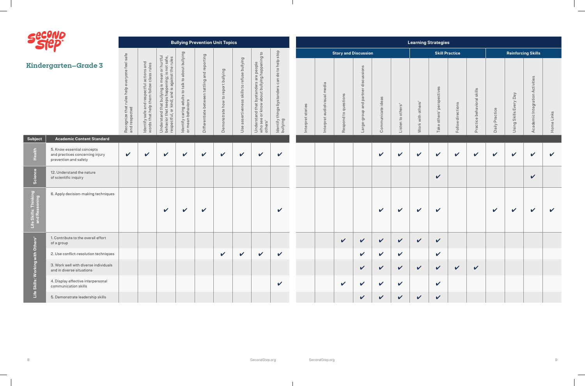$\overline{\phantom{0}}$ 

 $\overline{\phantom{0}}$ 

9

 $\overline{\phantom{a}}$ 



| <b>Secto</b>                                      |                                                                                        |                                                                                                                  |                                                                                                                          |                                                                                                                                                                            |                                                                                                                                                            |                                                                                                            | <b>Bullying Prevention Unit Topics</b>      |                                                                               |                                                                                                                             |                                                               |                      |                                    |                                        |                                                                                                      |                            |                                                | <b>Learning Strategies</b> |                                 |                       |                                       |                    |                                              |                                                 |              |
|---------------------------------------------------|----------------------------------------------------------------------------------------|------------------------------------------------------------------------------------------------------------------|--------------------------------------------------------------------------------------------------------------------------|----------------------------------------------------------------------------------------------------------------------------------------------------------------------------|------------------------------------------------------------------------------------------------------------------------------------------------------------|------------------------------------------------------------------------------------------------------------|---------------------------------------------|-------------------------------------------------------------------------------|-----------------------------------------------------------------------------------------------------------------------------|---------------------------------------------------------------|----------------------|------------------------------------|----------------------------------------|------------------------------------------------------------------------------------------------------|----------------------------|------------------------------------------------|----------------------------|---------------------------------|-----------------------|---------------------------------------|--------------------|----------------------------------------------|-------------------------------------------------|--------------|
|                                                   |                                                                                        | safe                                                                                                             |                                                                                                                          |                                                                                                                                                                            |                                                                                                                                                            |                                                                                                            |                                             |                                                                               | $\overline{c}$                                                                                                              |                                                               |                      |                                    | <b>Story and Discussion</b>            |                                                                                                      |                            |                                                |                            |                                 | <b>Skill Practice</b> |                                       |                    |                                              | <b>Reinforcing Skills</b>                       |              |
|                                                   | Kindergarten–Grade 3                                                                   | feel<br>eryone<br>$\frac{\text{O}}{\text{O}}$<br>$\omega$<br>$\overline{v}$<br>Recognize that r<br>and respected | ns and<br>rules<br>action<br>class I<br>ectfi<br>follo<br>$\overline{\mathsf{d}}$<br>af<br>Tac<br>Identify s<br>words th | rtful<br>t safe,<br>rules<br>öť<br>ᅩ<br>$\mathbb O$<br>습<br>5ú<br>ng;<br>ain<br>$\sigma$<br>.≌<br>Ō<br>an<br>kind;<br>$\circ$<br>ctful.<br>$\circ$<br>Unde<br>nesp<br>resp | bullying<br>out<br>ā<br>$\overline{c}$<br>$\sigma$<br>$_{\rm c}$<br>$d$ ult<br>caring adul <sup>-</sup><br>Dehaviors<br>$\circ$<br>Identify c<br>or mean I | reporting<br>and<br>tattling<br>$\subset$<br>$\omega$<br>$\overline{\Omega}$<br>$\circ$<br>ntiat<br>Differ | report bullying<br>o,<br>how<br>Demonstrate | refuse bullying<br>$\mathtt{S}$<br>skills<br>$\omega$<br>ertivene<br>Use asse | Γg<br>bystanders are people<br>about bullying happeni<br>that<br>mow<br>$\circ$<br>Understand t<br>who see or kr<br>others' | can do to help stop<br>ldentify things bystanders<br>bullying | stories<br>Interpret | media<br>audio/visual<br>Interpret | questions<br>$\mathbb{C}^1$<br>Respond | ons<br>$\overline{\omega}$<br>ਰ<br>$rac{1}{\sqrt{2}}$<br>partner<br>and<br>aroup:<br>$\omega$<br>gig | Communicate ideas          | others'<br>$\mathbb{C}$<br>Listen <sub>1</sub> | others'<br>with<br>Work    | perspectives<br>others'<br>Take | directions<br>Follow  | skills<br>avioral<br>behi<br>Practice | Daily Practice     | Veq<br>ery<br>$\bar{\Xi}$<br>Skills<br>Using | es<br>Activitie<br>ation<br>Integra<br>Academic | Home Links   |
| <b>Subject</b>                                    | <b>Academic Content Standard</b>                                                       |                                                                                                                  |                                                                                                                          |                                                                                                                                                                            |                                                                                                                                                            |                                                                                                            |                                             |                                                                               |                                                                                                                             |                                                               |                      |                                    |                                        |                                                                                                      |                            |                                                |                            |                                 |                       |                                       |                    |                                              |                                                 |              |
| Health                                            | 5. Know essential concepts<br>and practices concerning injury<br>prevention and safety | $\checkmark$                                                                                                     | $\boldsymbol{\mathcal{U}}$                                                                                               | $\mathbf{v}$                                                                                                                                                               | $\boldsymbol{\nu}$                                                                                                                                         | $\mathbf v$                                                                                                | $\boldsymbol{\mathcal{U}}$                  | $\mathbf v$                                                                   | $\checkmark$                                                                                                                | $\checkmark$                                                  |                      |                                    |                                        |                                                                                                      | $\checkmark$               | $\mathbf v$                                    | $\mathbf v$                | V                               | $\mathbf v$           | $\boldsymbol{\mathcal{U}}$            | $\boldsymbol{\nu}$ | $\mathbf v$                                  | $\mathbf v$                                     | $\mathbf v$  |
| Science                                           | 12. Understand the nature<br>of scientific inquiry                                     |                                                                                                                  |                                                                                                                          |                                                                                                                                                                            |                                                                                                                                                            |                                                                                                            |                                             |                                                                               |                                                                                                                             |                                                               |                      |                                    |                                        |                                                                                                      |                            |                                                |                            | V                               |                       |                                       |                    |                                              | $\checkmark$                                    |              |
| ls: Thinking<br>easoning<br>Life Skills<br>and Re | 6. Apply decision-making techniques                                                    |                                                                                                                  |                                                                                                                          | $\checkmark$                                                                                                                                                               | $\checkmark$                                                                                                                                               | $\checkmark$                                                                                               |                                             |                                                                               |                                                                                                                             | $\checkmark$                                                  |                      |                                    |                                        |                                                                                                      | $\boldsymbol{\mathcal{U}}$ | $\checkmark$                                   | $\mathbf v$                | $\boldsymbol{\mathcal{U}}$      |                       |                                       | $\checkmark$       | $\checkmark$                                 | $\checkmark$                                    | $\checkmark$ |
| Sie                                               | 1. Contribute to the overall effort<br>of a group                                      |                                                                                                                  |                                                                                                                          |                                                                                                                                                                            |                                                                                                                                                            |                                                                                                            |                                             |                                                                               |                                                                                                                             |                                                               |                      |                                    | $\mathbf v$                            | $\boldsymbol{\mathcal{U}}$                                                                           | $\checkmark$               | $\checkmark$                                   | $\boldsymbol{\mathcal{U}}$ | V                               |                       |                                       |                    |                                              |                                                 |              |
|                                                   | 2. Use conflict-resolution techniques                                                  |                                                                                                                  |                                                                                                                          |                                                                                                                                                                            |                                                                                                                                                            |                                                                                                            | $\checkmark$                                | $\checkmark$                                                                  | $\checkmark$                                                                                                                | $\mathbf v$                                                   |                      |                                    |                                        | $\mathbf v$                                                                                          | $\checkmark$               | $\checkmark$                                   |                            | $\checkmark$                    |                       |                                       |                    |                                              |                                                 |              |
| Life Skills: Working with Othe                    | 3. Work well with diverse individuals<br>and in diverse situations                     |                                                                                                                  |                                                                                                                          |                                                                                                                                                                            |                                                                                                                                                            |                                                                                                            |                                             |                                                                               |                                                                                                                             |                                                               |                      |                                    |                                        | $\mathbf v$                                                                                          | $\checkmark$               | $\checkmark$                                   | $\checkmark$               | $\checkmark$                    | $\checkmark$          | $\checkmark$                          |                    |                                              |                                                 |              |
|                                                   | 4. Display effective interpersonal<br>communication skills                             |                                                                                                                  |                                                                                                                          |                                                                                                                                                                            |                                                                                                                                                            |                                                                                                            |                                             |                                                                               |                                                                                                                             | $\checkmark$                                                  |                      |                                    | $\mathbf{v}$                           | $\mathbf v$                                                                                          | $\sqrt{2}$                 | $\checkmark$                                   |                            | $\boldsymbol{\mathcal{U}}$      |                       |                                       |                    |                                              |                                                 |              |
|                                                   | 5. Demonstrate leadership skills                                                       |                                                                                                                  |                                                                                                                          |                                                                                                                                                                            |                                                                                                                                                            |                                                                                                            |                                             |                                                                               |                                                                                                                             |                                                               |                      |                                    |                                        | $\checkmark$                                                                                         | $\checkmark$               | $\mathbf{v}$                                   | $\checkmark$               | $\checkmark$                    |                       |                                       |                    |                                              |                                                 |              |

 $\mathbf{I}$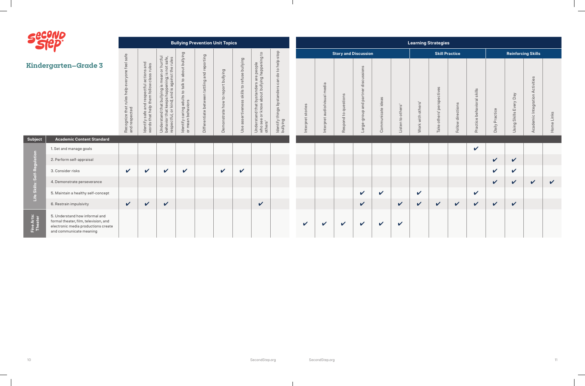$\overline{\phantom{a}}$ 

 $\sim$ 



| <b>Siep</b>                  |                                                                                                                                           |                                                                  |                                                                                                                                                       |                                                                                                                                                                                                                                                                                                                                                                                            |                                                                                                               |                                                             | <b>Bullying Prevention Unit Topics</b>                    |                                                                |                                                                                                                |                                                               |                      |                                                |                                      |                                                                                                                                                       |                               |                                                  | <b>Learning Strategies</b> |                                         |                       |                                                       |                |                                    |                                             |              |
|------------------------------|-------------------------------------------------------------------------------------------------------------------------------------------|------------------------------------------------------------------|-------------------------------------------------------------------------------------------------------------------------------------------------------|--------------------------------------------------------------------------------------------------------------------------------------------------------------------------------------------------------------------------------------------------------------------------------------------------------------------------------------------------------------------------------------------|---------------------------------------------------------------------------------------------------------------|-------------------------------------------------------------|-----------------------------------------------------------|----------------------------------------------------------------|----------------------------------------------------------------------------------------------------------------|---------------------------------------------------------------|----------------------|------------------------------------------------|--------------------------------------|-------------------------------------------------------------------------------------------------------------------------------------------------------|-------------------------------|--------------------------------------------------|----------------------------|-----------------------------------------|-----------------------|-------------------------------------------------------|----------------|------------------------------------|---------------------------------------------|--------------|
|                              |                                                                                                                                           | safe                                                             |                                                                                                                                                       |                                                                                                                                                                                                                                                                                                                                                                                            |                                                                                                               |                                                             |                                                           |                                                                | $\mathbb{C}$                                                                                                   |                                                               |                      |                                                | <b>Story and Discussion</b>          |                                                                                                                                                       |                               |                                                  |                            |                                         | <b>Skill Practice</b> |                                                       |                |                                    | <b>Reinforcing Skills</b>                   |              |
|                              | Kindergarten–Grade 3                                                                                                                      | feel:<br>eryone<br>help<br>Recognize that rules<br>and respected | actions and<br>class rules<br>tful<br>Iow<br>$\frac{1}{2}$ $\frac{1}{2}$<br>$\omega$<br>ᅙ<br>$rac{6}{9}$<br>safe<br>nat he<br>Identify s<br>words tha | <b>urtful</b><br>inot safe,<br>the rules<br>$\overline{a}$<br>$\overline{\overline{\overline{5}}}$<br>$\sigma$<br>$\ddot{\circ}$<br>gain<br>$\circ$<br>$\overline{\sigma}$<br>$\overline{\omega}$<br>$\Box$<br>$\overline{E}$<br>$\stackrel{\text{v}}{=}$<br>$\sigma$<br>keeps<br>kind; a<br>$\mathbf{\Omega}$<br>$\frac{1}{5}$<br>ਨ<br>behavior tha<br>respectful,<br>$\ddot{s}$<br>Under | bullying<br>about  <br>$\mathsf{C}$<br>talk<br>C,<br>dults<br>Identify caring adu<br>or mean behaviors<br>lde | reporting<br>and<br>tattling<br>$\Omega$<br>ntiate<br>Diffe | bullying<br>report  <br>$\mathbb{C}^1$<br>Demonstrate how | refuse bullying<br>skills to<br>$\omega$<br>irtive<br>ä<br>Use | people<br>happening t<br>are<br>ing h<br>Understand that bystanders<br>who see or know about bullyi<br>others' | can do to help stop<br>Identify things bystanders<br>bullying | stories<br>Interpret | media<br>audio/visual<br>$\vec{e}$<br>Interpre | questions<br>$\mathbb{C}$<br>Respond | ons<br>$\overline{\omega}$<br>$\omega$<br>$\overline{5}$<br>$rac{1}{\sqrt{2}}$<br>$\overline{\phantom{a}}$<br>$\circ$<br>partn<br>pue dnoi6.<br>arge- | <b>SC</b><br>Communicate idea | others'<br>$\mathbb{C}^1$<br>Listen <sup>-</sup> | others'<br>with<br>Work    | spectives<br>pe<br>ັທ<br>other:<br>Take | directions<br>Follow  | skills<br>$\overline{\sigma}$<br>behavior<br>Practice | Daily Practice | Day<br>ery<br>Ě<br>Skills<br>Using | Activities<br>Integration<br>demic I<br>Aca | Home Links   |
| <b>Subject</b>               | <b>Academic Content Standard</b>                                                                                                          |                                                                  |                                                                                                                                                       |                                                                                                                                                                                                                                                                                                                                                                                            |                                                                                                               |                                                             |                                                           |                                                                |                                                                                                                |                                                               |                      |                                                |                                      |                                                                                                                                                       |                               |                                                  |                            |                                         |                       |                                                       |                |                                    |                                             |              |
|                              | 1. Set and manage goals                                                                                                                   |                                                                  |                                                                                                                                                       |                                                                                                                                                                                                                                                                                                                                                                                            |                                                                                                               |                                                             |                                                           |                                                                |                                                                                                                |                                                               |                      |                                                |                                      |                                                                                                                                                       |                               |                                                  |                            |                                         |                       | $\boldsymbol{\mathcal{U}}$                            |                |                                    |                                             |              |
|                              | 2. Perform self-appraisal                                                                                                                 |                                                                  |                                                                                                                                                       |                                                                                                                                                                                                                                                                                                                                                                                            |                                                                                                               |                                                             |                                                           |                                                                |                                                                                                                |                                                               |                      |                                                |                                      |                                                                                                                                                       |                               |                                                  |                            |                                         |                       |                                                       | $\checkmark$   | $\checkmark$                       |                                             |              |
| Life Skills: Self-Regulation | 3. Consider risks                                                                                                                         | $\checkmark$                                                     | $\checkmark$                                                                                                                                          | $\boldsymbol{\mathcal{U}}$                                                                                                                                                                                                                                                                                                                                                                 | $\checkmark$                                                                                                  |                                                             | $\mathbf v$                                               | $\checkmark$                                                   |                                                                                                                |                                                               |                      |                                                |                                      |                                                                                                                                                       |                               |                                                  |                            |                                         |                       |                                                       | $\checkmark$   | $\checkmark$                       |                                             |              |
|                              | 4. Demonstrate perseverance                                                                                                               |                                                                  |                                                                                                                                                       |                                                                                                                                                                                                                                                                                                                                                                                            |                                                                                                               |                                                             |                                                           |                                                                |                                                                                                                |                                                               |                      |                                                |                                      |                                                                                                                                                       |                               |                                                  |                            |                                         |                       |                                                       | $\checkmark$   | $\checkmark$                       | $\checkmark$                                | $\checkmark$ |
|                              | 5. Maintain a healthy self-concept                                                                                                        |                                                                  |                                                                                                                                                       |                                                                                                                                                                                                                                                                                                                                                                                            |                                                                                                               |                                                             |                                                           |                                                                |                                                                                                                |                                                               |                      |                                                |                                      | $\mathbf v$                                                                                                                                           | $\checkmark$                  |                                                  | $\boldsymbol{\mathcal{U}}$ |                                         |                       | $\boldsymbol{\mathcal{U}}$                            |                |                                    |                                             |              |
|                              | 6. Restrain impulsivity                                                                                                                   | $\mathbf v$                                                      | $\checkmark$                                                                                                                                          | $\checkmark$                                                                                                                                                                                                                                                                                                                                                                               |                                                                                                               |                                                             |                                                           |                                                                | $\checkmark$                                                                                                   |                                                               |                      |                                                |                                      | $\mathbf v$                                                                                                                                           |                               | $\checkmark$                                     | $\mathbf v$                | $\checkmark$                            | $\checkmark$          | $\mathbf v$                                           | $\checkmark$   | $\mathbf v$                        |                                             |              |
| Fine Arts:<br>Theater        | 5. Understand how informal and<br>formal theater, film, television, and<br>electronic media productions create<br>and communicate meaning |                                                                  |                                                                                                                                                       |                                                                                                                                                                                                                                                                                                                                                                                            |                                                                                                               |                                                             |                                                           |                                                                |                                                                                                                |                                                               | $\mathbf v$          | $\boldsymbol{\mathcal{U}}$                     | $\checkmark$                         | $\checkmark$                                                                                                                                          | $\checkmark$                  | $\boldsymbol{\mathcal{U}}$                       |                            |                                         |                       |                                                       |                |                                    |                                             |              |

 $\mathbf{I}$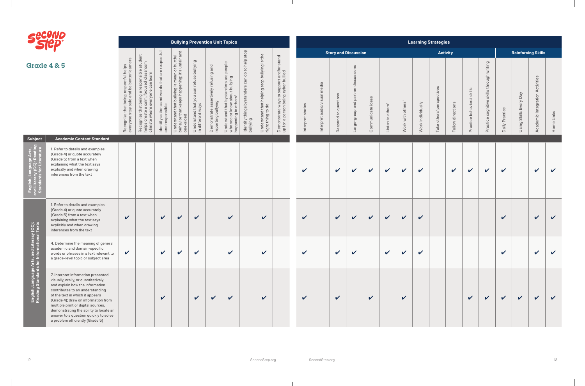| Ø<br>W |
|--------|
|        |

| <b>PISICO</b>                                                                           |                                                                                                                                                                                                                                                                                                                                                                                        |                                                                                                   |                                                                                                                                                  |                                                                                |                                                                                                                     | <b>Bullying Prevention Unit Topics</b>                                        |                                                                          |                                                                                                                                                                                                                                          |                                 |                                                                                     |                                                                                 |                   |                              |                                        |                                                 |                   |                   |                            | <b>Learning Strategies</b> |                              |                     |                            |                                              |                   |                        |                                 |                            |
|-----------------------------------------------------------------------------------------|----------------------------------------------------------------------------------------------------------------------------------------------------------------------------------------------------------------------------------------------------------------------------------------------------------------------------------------------------------------------------------------|---------------------------------------------------------------------------------------------------|--------------------------------------------------------------------------------------------------------------------------------------------------|--------------------------------------------------------------------------------|---------------------------------------------------------------------------------------------------------------------|-------------------------------------------------------------------------------|--------------------------------------------------------------------------|------------------------------------------------------------------------------------------------------------------------------------------------------------------------------------------------------------------------------------------|---------------------------------|-------------------------------------------------------------------------------------|---------------------------------------------------------------------------------|-------------------|------------------------------|----------------------------------------|-------------------------------------------------|-------------------|-------------------|----------------------------|----------------------------|------------------------------|---------------------|----------------------------|----------------------------------------------|-------------------|------------------------|---------------------------------|----------------------------|
|                                                                                         |                                                                                                                                                                                                                                                                                                                                                                                        |                                                                                                   |                                                                                                                                                  |                                                                                |                                                                                                                     |                                                                               |                                                                          | stop                                                                                                                                                                                                                                     |                                 |                                                                                     |                                                                                 |                   |                              |                                        | <b>Story and Discussion</b>                     |                   |                   |                            |                            | <b>Activity</b>              |                     |                            |                                              |                   |                        | <b>Reinforcing Skills</b>       |                            |
| Grade 4 & 5                                                                             |                                                                                                                                                                                                                                                                                                                                                                                        | ng respectful helps<br>and be better learn<br>beir<br>afe<br>Recognize that b<br>everyone stay sa | a responsible student<br>ocused classroom<br>can learn<br>everyone<br>Recognize that being a<br>helps create a calm, fo<br>climate where everyon | and words that are respectful<br>onsible<br>actions<br>Identify a<br>and respo | or hurtful<br>.'s unfair and<br>Understand that bullying is mean<br>behavior that keeps happening; it'<br>one-sided | bullying<br>refuse<br>can<br>Understand that you<br>in different ways<br>ways | assertively refusing and<br>bullying<br>Demonstrate a<br>reporting bully | help<br>are people<br>$\mathbb{C}^1$<br>$\rm ^o$<br>$\overline{g}$<br>can<br>ဖ<br>bullyi<br>der<br>$\omega$<br>/standers<br>stan<br>$\ensuremath{\mathop{\boxplus}}$<br>happening to others'<br>Understand that by<br>who see or know ab | Identify things bys<br>bullying | Understand that helping stop bullying is the<br>right thing to do<br>right thing to | Demonstrate ways to support and/or stand<br>up for a person being cyber bullied | Interpret stories | Interpret audio/visual media | questions<br>$\mathbb{C}^1$<br>Respond | discussions<br>partner<br>and<br>dnou6<br>Large | Communicate ideas | Listen to others' | Work with others           | Work individually          | perspectives<br>Take others' | direction<br>Follow | Practice behavioral skills | skills through writing<br>Practice cognitive | Practice<br>Daily | Using Skills Every Day | Academic Integration Activities | Home Links                 |
| Subject                                                                                 | <b>Academic Content Standard</b>                                                                                                                                                                                                                                                                                                                                                       |                                                                                                   |                                                                                                                                                  |                                                                                |                                                                                                                     |                                                                               |                                                                          |                                                                                                                                                                                                                                          |                                 |                                                                                     |                                                                                 |                   |                              |                                        |                                                 |                   |                   |                            |                            |                              |                     |                            |                                              |                   |                        |                                 |                            |
| sh, Language Arts,<br>eracy (CC): Reading<br><del>lazde for Lite</del> rature           | 1. Refer to details and examples<br>(Grade 4) or quote accurately<br>(Grade 5) from a text when<br>explaining what the text says<br>explicitly and when drawing<br>inferences from the text                                                                                                                                                                                            |                                                                                                   |                                                                                                                                                  |                                                                                |                                                                                                                     |                                                                               |                                                                          |                                                                                                                                                                                                                                          |                                 |                                                                                     |                                                                                 | $\checkmark$      |                              | $\checkmark$                           | $\checkmark$                                    | $\checkmark$      | $\mathbf v$       | $\mathbf v$                | $\checkmark$               |                              | V                   | $\checkmark$               | $\mathbf v$                                  | $\checkmark$      |                        | $\checkmark$                    | $\checkmark$               |
|                                                                                         | 1. Refer to details and examples<br>(Grade 4) or quote accurately<br>(Grade 5) from a text when<br>explaining what the text says<br>explicitly and when drawing<br>inferences from the text                                                                                                                                                                                            | $\checkmark$                                                                                      |                                                                                                                                                  | $\checkmark$                                                                   | $\boldsymbol{\mathcal{U}}$                                                                                          | V                                                                             |                                                                          | $\checkmark$                                                                                                                                                                                                                             |                                 | $\mathbf v$                                                                         |                                                                                 | $\checkmark$      |                              | $\checkmark$                           | $\mathbf v$                                     | $\checkmark$      | $\checkmark$      | $\checkmark$               | $\checkmark$               |                              |                     |                            |                                              | $\mathbf v$       |                        | V                               | $\checkmark$               |
|                                                                                         | 4. Determine the meaning of general<br>academic and domain-specific<br>words or phrases in a text relevant to<br>a grade-level topic or subject area                                                                                                                                                                                                                                   | $\checkmark$                                                                                      |                                                                                                                                                  | $\checkmark$                                                                   | $\boldsymbol{\mathcal{U}}$                                                                                          | $\checkmark$                                                                  |                                                                          | $\checkmark$                                                                                                                                                                                                                             |                                 | $\checkmark$                                                                        |                                                                                 | $\checkmark$      |                              | $\checkmark$                           | $\mathbf v$                                     |                   | $\checkmark$      | $\boldsymbol{\mathcal{U}}$ | $\boldsymbol{\mathcal{U}}$ |                              |                     |                            |                                              | $\mathbf v$       |                        | $\boldsymbol{\mathcal{U}}$      | $\boldsymbol{\mathcal{U}}$ |
| English, Language Arts, and Literacy (CC):<br>Reading Standards for Informational Texts | 7. Interpret information presented<br>visually, orally, or quantitatively,<br>and explain how the information<br>contributes to an understanding<br>of the text in which it appears<br>(Grade 4); draw on information from<br>multiple print or digital sources,<br>demonstrating the ability to locate an<br>answer to a question quickly to solve<br>a problem efficiently (Grade 5) |                                                                                                   |                                                                                                                                                  | $\checkmark$                                                                   |                                                                                                                     | $\checkmark$                                                                  | $\checkmark$                                                             | $\boldsymbol{\mathcal{U}}$                                                                                                                                                                                                               |                                 | $\checkmark$                                                                        |                                                                                 | $\checkmark$      |                              | $\checkmark$                           |                                                 | $\checkmark$      |                   | $\boldsymbol{\mathcal{U}}$ |                            |                              |                     | $\checkmark$               | $\checkmark$                                 | $\checkmark$      | $\mathbf v$            |                                 |                            |

 $\mathbf{I}$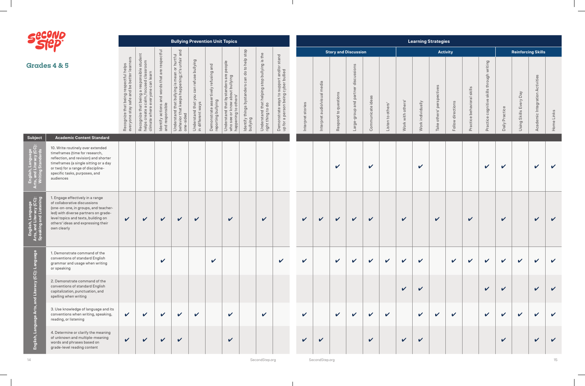| 0,<br><b>N</b> |
|----------------|
|                |

|                                                                        |                                                                                                                                                                                                                                              |                                                                                                        |                                                                                                                                                           |                                                                           | <b>Bullying Prevention Unit Topics</b>                                                                     |                                                              |                                                            |                                                                                                 |                                                                                     |                                                                   |                                                                                       |                            |                              |                                      |                                                |                   |                   |                   |                   | <b>Learning Strategies</b> |                      |                            |                                           |                            |                        |                                 |              |
|------------------------------------------------------------------------|----------------------------------------------------------------------------------------------------------------------------------------------------------------------------------------------------------------------------------------------|--------------------------------------------------------------------------------------------------------|-----------------------------------------------------------------------------------------------------------------------------------------------------------|---------------------------------------------------------------------------|------------------------------------------------------------------------------------------------------------|--------------------------------------------------------------|------------------------------------------------------------|-------------------------------------------------------------------------------------------------|-------------------------------------------------------------------------------------|-------------------------------------------------------------------|---------------------------------------------------------------------------------------|----------------------------|------------------------------|--------------------------------------|------------------------------------------------|-------------------|-------------------|-------------------|-------------------|----------------------------|----------------------|----------------------------|-------------------------------------------|----------------------------|------------------------|---------------------------------|--------------|
|                                                                        |                                                                                                                                                                                                                                              |                                                                                                        |                                                                                                                                                           |                                                                           |                                                                                                            |                                                              |                                                            |                                                                                                 | stop                                                                                |                                                                   |                                                                                       |                            |                              | <b>Story and Discussion</b>          |                                                |                   |                   |                   |                   |                            | <b>Activity</b>      |                            |                                           |                            |                        | <b>Reinforcing Skills</b>       |              |
|                                                                        | <b>Grades 4 &amp; 5</b>                                                                                                                                                                                                                      | at being respectful helps<br>y safe and be better learners<br>e tha<br>stay<br>Recognize<br>everyone : | responsible student<br>sused classroom<br>can learn<br>everyone<br>$\varpi$<br>Recognize that being a<br>helps create a calm, fo<br>climate where everyon | are respectful<br>and words that<br>Identify actions a<br>and responsible | Understand that bullying is mean or hurtful<br>behavior that keeps happening; it's unfair and<br>one-sided | Understand that you can refuse bullying<br>in different ways | Demonstrate assertively refusing and<br>reporting bullying | Understand that bystanders are people<br>who see or know about bullying<br>happening to others' | help<br>$\mathbb{S}^1$<br>$\rm ^o$<br>can<br>ldentify things bystanders<br>bullying | Understand that helping stop bullying is the<br>right thing to do | support and/or stand<br>cyber bullied<br>Demonstrate ways to<br>up for a person being | Interpret stories          | Interpret audiolvisual media | questions<br>$\mathbb{C}$<br>Respond | discussions<br>and partner<br>dno.fb<br>Farge- | Communicate ideas | Listen to others' | Work with others' | Work individually | Take others' perspectives  | directions<br>Follow | Practice behavioral skills | Practice cognitive skills through writing | Practice<br>Daily          | Using Skills Every Day | Academic Integration Activities | Home Links   |
| <b>Subject</b>                                                         | <b>Academic Content Standard</b>                                                                                                                                                                                                             |                                                                                                        |                                                                                                                                                           |                                                                           |                                                                                                            |                                                              |                                                            |                                                                                                 |                                                                                     |                                                                   |                                                                                       |                            |                              |                                      |                                                |                   |                   |                   |                   |                            |                      |                            |                                           |                            |                        |                                 |              |
| nguage<br>racy (CC):                                                   | 10. Write routinely over extended<br>timeframes (time for research,<br>reflection, and revision) and shorter<br>timeframes (a single sitting or a day<br>or two) for a range of discipline-<br>specific tasks, purposes, and<br>audiences    |                                                                                                        |                                                                                                                                                           |                                                                           |                                                                                                            |                                                              |                                                            |                                                                                                 |                                                                                     |                                                                   |                                                                                       |                            |                              | $\mathbf v$                          |                                                | $\checkmark$      |                   |                   | $\checkmark$      |                            |                      |                            | V                                         | $\boldsymbol{\mathcal{U}}$ |                        | $\checkmark$                    | $\checkmark$ |
| nglish, Language<br>, and Literacy (CC):<br>aking and Listening<br>ৰ ত | 1. Engage effectively in a range<br>of collaborative discussions<br>(one-on-one, in groups, and teacher-<br>led) with diverse partners on grade-<br>level topics and texts, building on<br>others' ideas and expressing their<br>own clearly | $\checkmark$                                                                                           | $\checkmark$                                                                                                                                              | $\checkmark$                                                              | $\checkmark$                                                                                               | $\boldsymbol{\mathcal{U}}$                                   |                                                            | $\boldsymbol{\mathcal{U}}$                                                                      |                                                                                     | $\checkmark$                                                      |                                                                                       | $\sqrt{2}$                 | $\checkmark$                 | $\checkmark$                         | $\mathbf{v}$                                   | $\checkmark$      |                   | $\mathbf v$       |                   | $\checkmark$               |                      | $\checkmark$               |                                           | $\checkmark$               |                        | $\checkmark$                    | $\checkmark$ |
|                                                                        | 1. Demonstrate command of the<br>conventions of standard English<br>grammar and usage when writing<br>or speaking                                                                                                                            |                                                                                                        |                                                                                                                                                           | $\mathbf v$                                                               |                                                                                                            |                                                              | $\boldsymbol{\mathcal{U}}$                                 |                                                                                                 |                                                                                     |                                                                   | $\checkmark$                                                                          | $\mathbf{v}$               |                              | $\sqrt{2}$                           | $\sqrt{2}$                                     | $\mathbf{v}$      | $\checkmark$      | $\checkmark$      | $\checkmark$      |                            | $\mathbf{v}$         | $\mathbf{v}$               | $\mathbf{v}$                              | $\sqrt{2}$                 | $\mathbf{v}$           | $\sqrt{2}$                      | $\mathbf v$  |
| and Literacy (CC): Language                                            | 2. Demonstrate command of the<br>conventions of standard English<br>capitalization, punctuation, and<br>spelling when writing                                                                                                                |                                                                                                        |                                                                                                                                                           |                                                                           |                                                                                                            |                                                              |                                                            |                                                                                                 |                                                                                     |                                                                   |                                                                                       |                            |                              |                                      |                                                |                   |                   | $\checkmark$      | $\checkmark$      |                            |                      |                            | $\mathbf v$                               | $\checkmark$               |                        | $\mathbf v$                     |              |
| Arts,<br>age                                                           | 3. Use knowledge of language and its<br>conventions when writing, speaking,<br>reading, or listening                                                                                                                                         | $\sqrt{2}$                                                                                             | $\checkmark$                                                                                                                                              | $\checkmark$                                                              | $\mathbf v$                                                                                                | $\mathbf v$                                                  |                                                            | $\mathbf v$                                                                                     |                                                                                     | $\checkmark$                                                      |                                                                                       | $\mathbf{v}$               |                              | $\checkmark$                         | $\mathbf{v}$                                   | $\checkmark$      | $\mathbf v$       |                   | $\checkmark$      | $\checkmark$               | $\checkmark$         |                            | $\checkmark$                              | $\mathbf v$                | $\checkmark$           | $\mathbf v$                     | $\mathbf v$  |
| English, Langu                                                         | 4. Determine or clarify the meaning<br>of unknown and multiple-meaning<br>words and phrases based on<br>grade-level reading content                                                                                                          | $\checkmark$                                                                                           | $\checkmark$                                                                                                                                              | $\checkmark$                                                              | $\checkmark$                                                                                               |                                                              |                                                            | $\checkmark$                                                                                    |                                                                                     |                                                                   |                                                                                       | $\boldsymbol{\mathcal{U}}$ | $\mathbf v$                  |                                      |                                                | $\checkmark$      |                   | $\checkmark$      | $\checkmark$      |                            |                      |                            |                                           | $\mathbf{v}$               |                        | $\mathbf v$                     |              |

 $\mathbf{I}$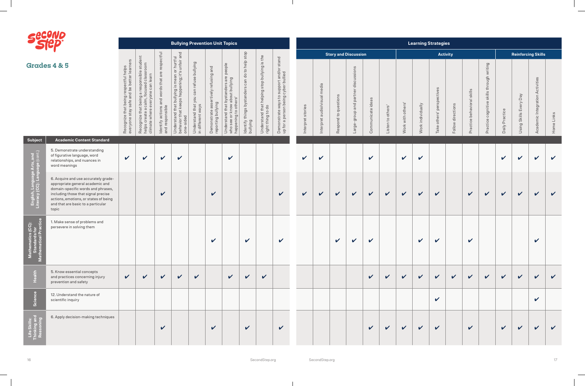$\overline{\phantom{0}}$ 



| <b>SHAP</b>                                                    |                                                                                                                                                                                                                                               |                                                                                                        |                                                                                                                                                                                          |                                                                                 | <b>Bullying Prevention Unit Topics</b>                                                                     |                                                              |                                                            |                                                                                                 |                                                                      |                                                                                |                                                                                       |                   |                              |                                                   |                                                  |                            |                   |                            | <b>Learning Strategies</b> |                           |                            |                            |                                           |                            |                        |                                 |              |
|----------------------------------------------------------------|-----------------------------------------------------------------------------------------------------------------------------------------------------------------------------------------------------------------------------------------------|--------------------------------------------------------------------------------------------------------|------------------------------------------------------------------------------------------------------------------------------------------------------------------------------------------|---------------------------------------------------------------------------------|------------------------------------------------------------------------------------------------------------|--------------------------------------------------------------|------------------------------------------------------------|-------------------------------------------------------------------------------------------------|----------------------------------------------------------------------|--------------------------------------------------------------------------------|---------------------------------------------------------------------------------------|-------------------|------------------------------|---------------------------------------------------|--------------------------------------------------|----------------------------|-------------------|----------------------------|----------------------------|---------------------------|----------------------------|----------------------------|-------------------------------------------|----------------------------|------------------------|---------------------------------|--------------|
|                                                                |                                                                                                                                                                                                                                               |                                                                                                        |                                                                                                                                                                                          |                                                                                 |                                                                                                            |                                                              |                                                            |                                                                                                 | stop                                                                 |                                                                                |                                                                                       |                   |                              |                                                   | <b>Story and Discussion</b>                      |                            |                   |                            |                            |                           | <b>Activity</b>            |                            |                                           |                            |                        | <b>Reinforcing Skills</b>       |              |
|                                                                | <b>Grades 4 &amp; 5</b>                                                                                                                                                                                                                       | at being respectful helps<br>y safe and be better learners<br>e tha<br>stay<br>Recognize<br>everyone : | student<br>moo<br>responsible:<br>cused classro<br>can learn<br>$\overline{\circ}$<br>everyone<br>$\sigma$<br>Recognize that being a<br>helps create a calm, fo<br>climate where everyon | respectful<br>are<br>words that<br>and<br>Identify actions a<br>and responsible | Understand that bullying is mean or hurtful<br>behavior that keeps happening; it's unfair and<br>one-sided | Understand that you can refuse bullying<br>in different ways | Demonstrate assertively refusing and<br>reporting bullying | Understand that bystanders are people<br>who see or know about bullying<br>happening to others' | to help<br>$\rm ^o$<br>can<br>Identify things bystanders<br>bullying | irstand that helping stop bullying is the<br>thing to do<br>Under:<br>right th | support and/or stand<br>cyber bullied<br>Demonstrate ways to<br>up for a person being | Interpret stories | Interpret audiolvisual media | questions<br>$\mathbb{C}$<br>Respond <sub>1</sub> | discussions<br>partner<br>and<br>group<br>Large- | Communicate ideas          | Listen to others' | Work with others'          | Work individually          | Take others' perspectives | directions<br>Follow       | Practice behavioral skills | Practice cognitive skills through writing | Practice<br>Daily          | Using Skills Every Day | Academic Integration Activities | Home Links   |
| <b>Subject</b>                                                 | <b>Academic Content Standard</b>                                                                                                                                                                                                              |                                                                                                        |                                                                                                                                                                                          |                                                                                 |                                                                                                            |                                                              |                                                            |                                                                                                 |                                                                      |                                                                                |                                                                                       |                   |                              |                                                   |                                                  |                            |                   |                            |                            |                           |                            |                            |                                           |                            |                        |                                 |              |
|                                                                | 5. Demonstrate understanding<br>of figurative language, word<br>relationships, and nuances in<br>word meanings                                                                                                                                | $\checkmark$                                                                                           | $\checkmark$                                                                                                                                                                             | $\boldsymbol{\mathcal{U}}$                                                      | V                                                                                                          |                                                              |                                                            | $\checkmark$                                                                                    |                                                                      |                                                                                |                                                                                       | $\checkmark$      | $\boldsymbol{\mathcal{U}}$   |                                                   |                                                  | $\checkmark$               |                   | $\boldsymbol{\mathcal{U}}$ | $\checkmark$               |                           |                            |                            |                                           | $\boldsymbol{\mathcal{U}}$ | V                      | $\checkmark$                    | $\checkmark$ |
| English, Language Arts, and<br>Literacy (CC): Language (cont.) | 6. Acquire and use accurately grade-<br>appropriate general academic and<br>domain-specific words and phrases,<br>including those that signal precise<br>actions, emotions, or states of being<br>and that are basic to a particular<br>topic |                                                                                                        |                                                                                                                                                                                          | $\checkmark$                                                                    |                                                                                                            |                                                              | V                                                          |                                                                                                 |                                                                      |                                                                                | $\checkmark$                                                                          | $\mathbf{v}$      | $\checkmark$                 | $\checkmark$                                      | $\mathbf{v}$                                     | $\checkmark$               | $\sqrt{2}$        | $\checkmark$               | $\checkmark$               | $\checkmark$              |                            | $\checkmark$               | $\mathbf{v}$                              | $\checkmark$               | $\checkmark$           | $\checkmark$                    | $\checkmark$ |
| <b>Rip</b><br>ics (CC):<br>ds for<br>æ.<br><b>Math</b>         | 1. Make sense of problems and<br>persevere in solving them                                                                                                                                                                                    |                                                                                                        |                                                                                                                                                                                          |                                                                                 |                                                                                                            |                                                              | $\checkmark$                                               |                                                                                                 | $\checkmark$                                                         |                                                                                | $\checkmark$                                                                          |                   |                              | $\mathbf v$                                       |                                                  | $\boldsymbol{\mathcal{U}}$ |                   |                            | $\checkmark$               | $\mathbf v$               |                            | $\checkmark$               |                                           |                            |                        | $\checkmark$                    |              |
| Health                                                         | 5. Know essential concepts<br>and practices concerning injury<br>prevention and safety                                                                                                                                                        | $\checkmark$                                                                                           | $\checkmark$                                                                                                                                                                             | $\checkmark$                                                                    | $\checkmark$                                                                                               | $\boldsymbol{\mathcal{U}}$                                   |                                                            | $\sqrt{2}$                                                                                      | $\boldsymbol{\mathcal{U}}$                                           | $\checkmark$                                                                   |                                                                                       |                   |                              |                                                   |                                                  | $\checkmark$               | $\checkmark$      | $\checkmark$               | $\checkmark$               | $\checkmark$              | $\boldsymbol{\mathcal{U}}$ | $\checkmark$               | $\mathbf{v}$                              | $\checkmark$               | $\checkmark$           | $\mathbf v$                     |              |
| Science                                                        | 12. Understand the nature of<br>scientific inquiry                                                                                                                                                                                            |                                                                                                        |                                                                                                                                                                                          |                                                                                 |                                                                                                            |                                                              |                                                            |                                                                                                 |                                                                      |                                                                                |                                                                                       |                   |                              |                                                   |                                                  |                            |                   |                            |                            | $\checkmark$              |                            |                            |                                           |                            |                        | $\boldsymbol{\mathcal{U}}$      |              |
| Skills:<br>ing and<br>soning                                   | 6. Apply decision-making techniques                                                                                                                                                                                                           |                                                                                                        |                                                                                                                                                                                          | $\checkmark$                                                                    |                                                                                                            |                                                              | $\boldsymbol{\mathcal{U}}$                                 |                                                                                                 | $\checkmark$                                                         |                                                                                | $\checkmark$                                                                          |                   |                              |                                                   |                                                  | $\checkmark$               | $\checkmark$      | $\mathbf{v}$               | $\checkmark$               | $\checkmark$              |                            | $\checkmark$               |                                           | $\checkmark$               | V                      | $\checkmark$                    |              |

 $\mathbf{I}$ 

 $\overline{\phantom{a}}$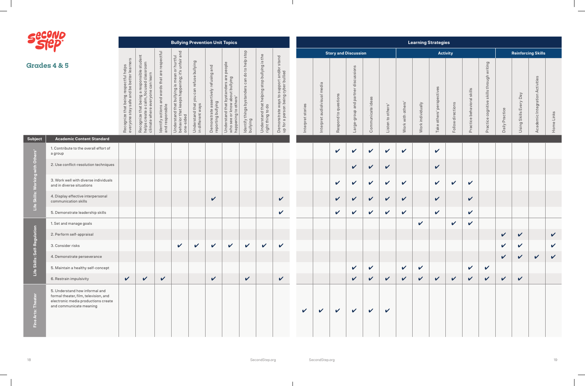| <b>Step</b>           |                                                                                                                                           |                                                                                    |                                                                                                                                                                    |                                                                           | <b>Bullying Prevention Unit Topics</b>                                                                                               |                                                              |                                                                  |                                                                                                              |                                                                                 |                                                                                     |                                                                                 |                   |                              |                            |                                                           |                            |                   |                            |                   | <b>Learning Strategies</b> |                            |                            |                                              |                   |                           |                                 |              |
|-----------------------|-------------------------------------------------------------------------------------------------------------------------------------------|------------------------------------------------------------------------------------|--------------------------------------------------------------------------------------------------------------------------------------------------------------------|---------------------------------------------------------------------------|--------------------------------------------------------------------------------------------------------------------------------------|--------------------------------------------------------------|------------------------------------------------------------------|--------------------------------------------------------------------------------------------------------------|---------------------------------------------------------------------------------|-------------------------------------------------------------------------------------|---------------------------------------------------------------------------------|-------------------|------------------------------|----------------------------|-----------------------------------------------------------|----------------------------|-------------------|----------------------------|-------------------|----------------------------|----------------------------|----------------------------|----------------------------------------------|-------------------|---------------------------|---------------------------------|--------------|
|                       |                                                                                                                                           |                                                                                    |                                                                                                                                                                    |                                                                           |                                                                                                                                      |                                                              |                                                                  |                                                                                                              |                                                                                 |                                                                                     |                                                                                 |                   |                              |                            | <b>Story and Discussion</b>                               |                            |                   |                            |                   | <b>Activity</b>            |                            |                            |                                              |                   | <b>Reinforcing Skills</b> |                                 |              |
|                       | <b>Grades 4 &amp; 5</b>                                                                                                                   | Recognize that being respectful helps<br>everyone stay safe and be better learners | responsible student<br>cused classroom<br>moons<br>learn<br>everyone can<br>$\varpi$<br>Recognize that being a<br>helps create a calm, fo<br>climate where everyon | respectful<br>and words that are<br>Identify actions a<br>and responsible | r hurtful<br>unfair and<br>t bullying is mean or h<br>eps happening; it's uı<br>Understand that b<br>behavior that keep<br>one-sided | Understand that you can refuse bullying<br>in different ways | ertively refusing and<br>Demonstrate asser<br>reporting bullying | nders are people<br>: bullying<br>Understand that bystand<br>who see or know about b<br>happening to others' | to help stop<br>$\rm ^{\circ}$<br>can<br>Identify things bystanders<br>bullying | Understand that helping stop bullying is the<br>right thing to do<br>right thing to | Demonstrate ways to support and/or stand<br>up for a person being cyber bullied | Interpret stories | Interpret audio/visual media | to questions<br>Respond    | discussions<br>partner<br>and<br>dronb<br>$\circ$<br>Larg | Communicate ideas          | Listen to others' | others'<br>Work with       | Work individually | Take others' perspectives  | directions<br>Follow       | Practice behavioral skills | skills through writing<br>Practice cognitive | Practice<br>Daily | Using Skills Every Day    | Academic Integration Activities | Home Links   |
| <b>Subject</b>        | <b>Academic Content Standard</b>                                                                                                          |                                                                                    |                                                                                                                                                                    |                                                                           |                                                                                                                                      |                                                              |                                                                  |                                                                                                              |                                                                                 |                                                                                     |                                                                                 |                   |                              |                            |                                                           |                            |                   |                            |                   |                            |                            |                            |                                              |                   |                           |                                 |              |
|                       | 1. Contribute to the overall effort of<br>a group                                                                                         |                                                                                    |                                                                                                                                                                    |                                                                           |                                                                                                                                      |                                                              |                                                                  |                                                                                                              |                                                                                 |                                                                                     |                                                                                 |                   |                              | $\checkmark$               | $\boldsymbol{\ell}$                                       | $\checkmark$               | $\checkmark$      | $\boldsymbol{\nu}$         |                   | $\mathbf v$                |                            |                            |                                              |                   |                           |                                 |              |
| with Others'          | 2. Use conflict-resolution techniques                                                                                                     |                                                                                    |                                                                                                                                                                    |                                                                           |                                                                                                                                      |                                                              |                                                                  |                                                                                                              |                                                                                 |                                                                                     |                                                                                 |                   |                              |                            | $\boldsymbol{\mathcal{U}}$                                | $\checkmark$               | $\checkmark$      |                            |                   | $\checkmark$               |                            |                            |                                              |                   |                           |                                 |              |
| Working               | 3. Work well with diverse individuals<br>and in diverse situations                                                                        |                                                                                    |                                                                                                                                                                    |                                                                           |                                                                                                                                      |                                                              |                                                                  |                                                                                                              |                                                                                 |                                                                                     |                                                                                 |                   |                              | $\boldsymbol{\mathcal{U}}$ | $\boldsymbol{\mathcal{U}}$                                | $\checkmark$               | $\mathbf v$       | $\boldsymbol{\mathcal{U}}$ |                   | $\mathbf v$                | $\boldsymbol{\mathcal{U}}$ | $\checkmark$               |                                              |                   |                           |                                 |              |
| Life Skills:          | 4. Display effective interpersonal<br>communication skills                                                                                |                                                                                    |                                                                                                                                                                    |                                                                           |                                                                                                                                      |                                                              | $\checkmark$                                                     |                                                                                                              |                                                                                 |                                                                                     | $\checkmark$                                                                    |                   |                              | $\checkmark$               | $\boldsymbol{\mathcal{U}}$                                | $\boldsymbol{\mathcal{U}}$ | $\checkmark$      | $\checkmark$               |                   | $\checkmark$               |                            | $\checkmark$               |                                              |                   |                           |                                 |              |
|                       | 5. Demonstrate leadership skills                                                                                                          |                                                                                    |                                                                                                                                                                    |                                                                           |                                                                                                                                      |                                                              |                                                                  |                                                                                                              |                                                                                 |                                                                                     | $\boldsymbol{\mathcal{U}}$                                                      |                   |                              | $\checkmark$               | V                                                         | $\mathbf v$                | $\checkmark$      | V                          |                   | $\mathbf v$                |                            | $\checkmark$               |                                              |                   |                           |                                 |              |
|                       | 1. Set and manage goals                                                                                                                   |                                                                                    |                                                                                                                                                                    |                                                                           |                                                                                                                                      |                                                              |                                                                  |                                                                                                              |                                                                                 |                                                                                     |                                                                                 |                   |                              |                            |                                                           |                            |                   |                            | V                 |                            | V                          | $\checkmark$               |                                              |                   |                           |                                 |              |
| noitaluge             | 2. Perform self-appraisal                                                                                                                 |                                                                                    |                                                                                                                                                                    |                                                                           |                                                                                                                                      |                                                              |                                                                  |                                                                                                              |                                                                                 |                                                                                     |                                                                                 |                   |                              |                            |                                                           |                            |                   |                            |                   |                            |                            |                            |                                              | $\checkmark$      | $\checkmark$              |                                 | $\checkmark$ |
|                       | 3. Consider risks                                                                                                                         |                                                                                    |                                                                                                                                                                    |                                                                           | V                                                                                                                                    |                                                              | $\checkmark$                                                     | $\mathbf v$                                                                                                  | $\mathbf{v}$                                                                    | $\checkmark$                                                                        | $\checkmark$                                                                    |                   |                              |                            |                                                           |                            |                   |                            |                   |                            |                            |                            |                                              | V                 | V                         |                                 | V            |
|                       | 4. Demonstrate perseverance                                                                                                               |                                                                                    |                                                                                                                                                                    |                                                                           |                                                                                                                                      |                                                              |                                                                  |                                                                                                              |                                                                                 |                                                                                     |                                                                                 |                   |                              |                            |                                                           |                            |                   |                            |                   |                            |                            |                            |                                              | $\checkmark$      | $\checkmark$              | $\checkmark$                    | $\checkmark$ |
| Life Skills: Self-    | 5. Maintain a healthy self-concept                                                                                                        |                                                                                    |                                                                                                                                                                    |                                                                           |                                                                                                                                      |                                                              |                                                                  |                                                                                                              |                                                                                 |                                                                                     |                                                                                 |                   |                              |                            | $\mathbf{v}$                                              | $\checkmark$               |                   | $\checkmark$               | $\mathbf v$       |                            |                            | $\checkmark$               | $\checkmark$                                 |                   |                           |                                 |              |
|                       | 6. Restrain impulsivity                                                                                                                   | $\checkmark$                                                                       | $\checkmark$                                                                                                                                                       | $\checkmark$                                                              |                                                                                                                                      |                                                              | $\checkmark$                                                     |                                                                                                              | $\checkmark$                                                                    |                                                                                     | $\checkmark$                                                                    |                   |                              |                            | $\mathbf{v}$                                              | $\checkmark$               | $\checkmark$      | $\checkmark$               | $\checkmark$      | $\checkmark$               | $\mathbf v$                | $\checkmark$               | $\checkmark$                                 | $\checkmark$      | $\checkmark$              |                                 |              |
| Arts: Theater<br>Fine | 5. Understand how informal and<br>formal theater, film, television, and<br>electronic media productions create<br>and communicate meaning |                                                                                    |                                                                                                                                                                    |                                                                           |                                                                                                                                      |                                                              |                                                                  |                                                                                                              |                                                                                 |                                                                                     |                                                                                 | $\mathbf{v}$      | $\checkmark$                 | $\checkmark$               | $\boldsymbol{\mathcal{U}}$                                | $\checkmark$               | $\checkmark$      |                            |                   |                            |                            |                            |                                              |                   |                           |                                 |              |

 $\mathbf{I}$